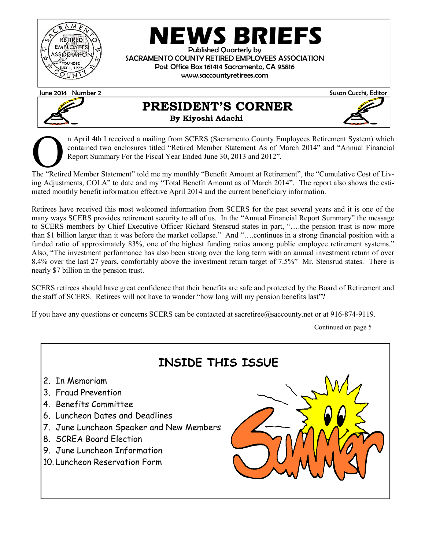

## **NEWS BRIEFS**

Published Quarterly by SACRAMENTO COUNTY RETIRED EMPLOYEES ASSOCIATION Post Office Box 161414 Sacramento, CA 95816 www.saccountyretirees.com

June 2014 Number 2 Susan Cucchi, Editor



## **PRESIDENT'S CORNER By Kiyoshi Adachi**



n April 4th I received a mailing from SCERS (Sacramento County Employees Retirement System) which<br>contained two enclosures titled "Retired Member Statement As of March 2014" and "Annual Financial<br>Report Summary For the Fis n April 4th I received a mailing from SCERS (Sacramento County Employees Retirement System) which contained two enclosures titled "Retired Member Statement As of March 2014" and "Annual Financial Report Summary For the Fiscal Year Ended June 30, 2013 and 2012".

ing Adjustments, COLA" to date and my "Total Benefit Amount as of March 2014". The report also shows the estimated monthly benefit information effective April 2014 and the current beneficiary information.

Retirees have received this most welcomed information from SCERS for the past several years and it is one of the many ways SCERS provides retirement security to all of us. In the "Annual Financial Report Summary" the message to SCERS members by Chief Executive Officer Richard Stensrud states in part, "….the pension trust is now more than \$1 billion larger than it was before the market collapse." And "….continues in a strong financial position with a funded ratio of approximately 83%, one of the highest funding ratios among public employee retirement systems." Also, "The investment performance has also been strong over the long term with an annual investment return of over 8.4% over the last 27 years, comfortably above the investment return target of 7.5%" Mr. Stensrud states. There is nearly \$7 billion in the pension trust.

SCERS retirees should have great confidence that their benefits are safe and protected by the Board of Retirement and the staff of SCERS. Retirees will not have to wonder "how long will my pension benefits last"?

If you have any questions or concerns SCERS can be contacted at sacretiree@saccounty.net or at 916-874-9119.

Continued on page 5

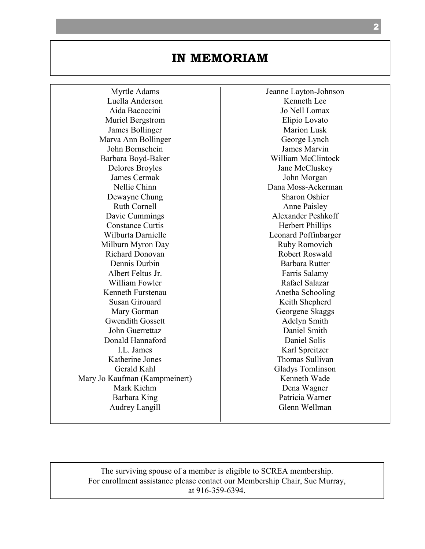## **IN MEMORIAM**

Myrtle Adams Luella Anderson Aida Bacoccini Muriel Bergstrom James Bollinger Marva Ann Bollinger John Bornschein Barbara Boyd-Baker Delores Broyles James Cermak Nellie Chinn Dewayne Chung Ruth Cornell Davie Cummings Constance Curtis Wilburta Darnielle Milburn Myron Day Richard Donovan Dennis Durbin Albert Feltus Jr. William Fowler Kenneth Furstenau Susan Girouard Mary Gorman Gwendith Gossett John Guerrettaz Donald Hannaford I.L. James Katherine Jones Gerald Kahl Mary Jo Kaufman (Kampmeinert) Mark Kiehm Barbara King Audrey Langill

Jeanne Layton-Johnson Kenneth Lee Jo Nell Lomax Elipio Lovato Marion Lusk George Lynch James Marvin William McClintock Jane McCluskey John Morgan Dana Moss-Ackerman Sharon Oshier Anne Paisley Alexander Peshkoff Herbert Phillips Leonard Poffinbarger Ruby Romovich Robert Roswald Barbara Rutter Farris Salamy Rafael Salazar Anetha Schooling Keith Shepherd Georgene Skaggs Adelyn Smith Daniel Smith Daniel Solis Karl Spreitzer Thomas Sullivan Gladys Tomlinson Kenneth Wade Dena Wagner Patricia Warner Glenn Wellman

The surviving spouse of a member is eligible to SCREA membership. For enrollment assistance please contact our Membership Chair, Sue Murray, at 916-359-6394.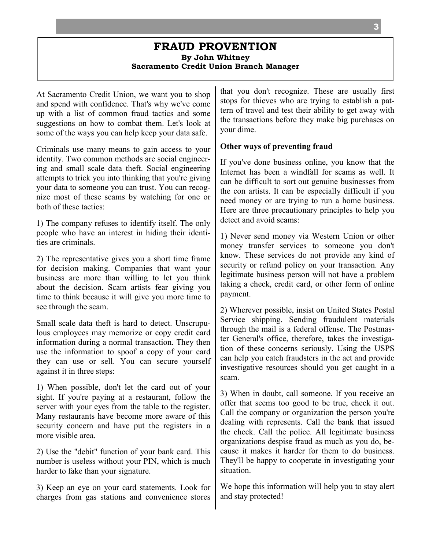#### **FRAUD PROVENTION By John Whitney Sacramento Credit Union Branch Manager**

At Sacramento Credit Union, we want you to shop and spend with confidence. That's why we've come up with a list of common fraud tactics and some suggestions on how to combat them. Let's look at some of the ways you can help keep your data safe.

Criminals use many means to gain access to your identity. Two common methods are social engineering and small scale data theft. Social engineering attempts to trick you into thinking that you're giving your data to someone you can trust. You can recognize most of these scams by watching for one or both of these tactics:

1) The company refuses to identify itself. The only people who have an interest in hiding their identities are criminals.

2) The representative gives you a short time frame for decision making. Companies that want your business are more than willing to let you think about the decision. Scam artists fear giving you time to think because it will give you more time to see through the scam.

Small scale data theft is hard to detect. Unscrupulous employees may memorize or copy credit card information during a normal transaction. They then use the information to spoof a copy of your card they can use or sell. You can secure yourself against it in three steps:

1) When possible, don't let the card out of your sight. If you're paying at a restaurant, follow the server with your eyes from the table to the register. Many restaurants have become more aware of this security concern and have put the registers in a more visible area.

2) Use the "debit" function of your bank card. This number is useless without your PIN, which is much harder to fake than your signature.

3) Keep an eye on your card statements. Look for charges from gas stations and convenience stores that you don't recognize. These are usually first stops for thieves who are trying to establish a pattern of travel and test their ability to get away with the transactions before they make big purchases on your dime.

#### **Other ways of preventing fraud**

If you've done business online, you know that the Internet has been a windfall for scams as well. It can be difficult to sort out genuine businesses from the con artists. It can be especially difficult if you need money or are trying to run a home business. Here are three precautionary principles to help you detect and avoid scams:

1) Never send money via Western Union or other money transfer services to someone you don't know. These services do not provide any kind of security or refund policy on your transaction. Any legitimate business person will not have a problem taking a check, credit card, or other form of online payment.

2) Wherever possible, insist on United States Postal Service shipping. Sending fraudulent materials through the mail is a federal offense. The Postmaster General's office, therefore, takes the investigation of these concerns seriously. Using the USPS can help you catch fraudsters in the act and provide investigative resources should you get caught in a scam.

3) When in doubt, call someone. If you receive an offer that seems too good to be true, check it out. Call the company or organization the person you're dealing with represents. Call the bank that issued the check. Call the police. All legitimate business organizations despise fraud as much as you do, because it makes it harder for them to do business. They'll be happy to cooperate in investigating your situation.

We hope this information will help you to stay alert and stay protected!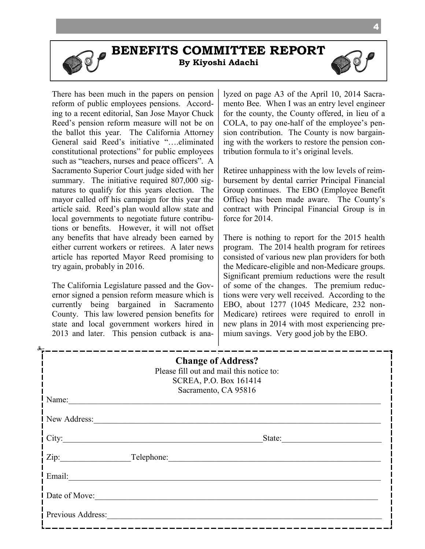**BENEFITS COMMITTEE REPORT**

**By Kiyoshi Adachi**



The California Legislature passed and the Governor signed a pension reform measure which is currently being bargained in Sacramento County. This law lowered pension benefits for state and local government workers hired in 2013 and later. This pension cutback is analyzed on page A3 of the April 10, 2014 Sacramento Bee. When I was an entry level engineer for the county, the County offered, in lieu of a COLA, to pay one-half of the employee's pension contribution. The County is now bargaining with the workers to restore the pension contribution formula to it's original levels.

Retiree unhappiness with the low levels of reimbursement by dental carrier Principal Financial Group continues. The EBO (Employee Benefit Office) has been made aware. The County's contract with Principal Financial Group is in force for 2014.

There is nothing to report for the 2015 health program. The 2014 health program for retirees consisted of various new plan providers for both the Medicare-eligible and non-Medicare groups. Significant premium reductions were the result of some of the changes. The premium reductions were very well received. According to the EBO, about 1277 (1045 Medicare, 232 non-Medicare) retirees were required to enroll in new plans in 2014 with most experiencing premium savings. Very good job by the EBO.

|                   | <b>Change of Address?</b><br>Please fill out and mail this notice to:<br>SCREA, P.O. Box 161414<br>Sacramento, CA 95816 |
|-------------------|-------------------------------------------------------------------------------------------------------------------------|
| Name:             |                                                                                                                         |
| New Address:      |                                                                                                                         |
| $City$ :          | State:                                                                                                                  |
|                   | Zip: Telephone:                                                                                                         |
| Email:            |                                                                                                                         |
| Date of Move:     |                                                                                                                         |
| Previous Address: |                                                                                                                         |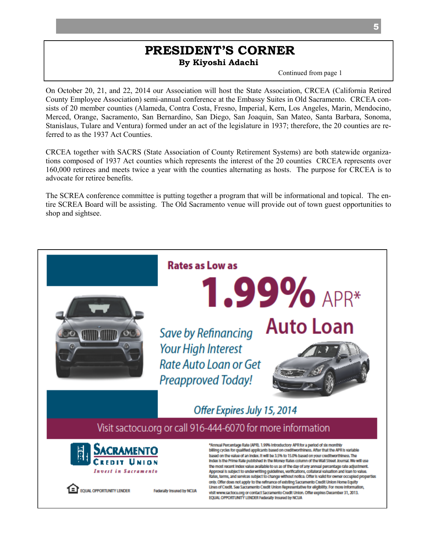#### **PRESIDENT'S CORNER By Kiyoshi Adachi**

Continued from page 1

On October 20, 21, and 22, 2014 our Association will host the State Association, CRCEA (California Retired County Employee Association) semi-annual conference at the Embassy Suites in Old Sacramento. CRCEA consists of 20 member counties (Alameda, Contra Costa, Fresno, Imperial, Kern, Los Angeles, Marin, Mendocino, Merced, Orange, Sacramento, San Bernardino, San Diego, San Joaquin, San Mateo, Santa Barbara, Sonoma, Stanislaus, Tulare and Ventura) formed under an act of the legislature in 1937; therefore, the 20 counties are referred to as the 1937 Act Counties.

CRCEA together with SACRS (State Association of County Retirement Systems) are both statewide organizations composed of 1937 Act counties which represents the interest of the 20 counties CRCEA represents over 160,000 retirees and meets twice a year with the counties alternating as hosts. The purpose for CRCEA is to advocate for retiree benefits.

The SCREA conference committee is putting together a program that will be informational and topical. The entire SCREA Board will be assisting. The Old Sacramento venue will provide out of town guest opportunities to shop and sightsee.

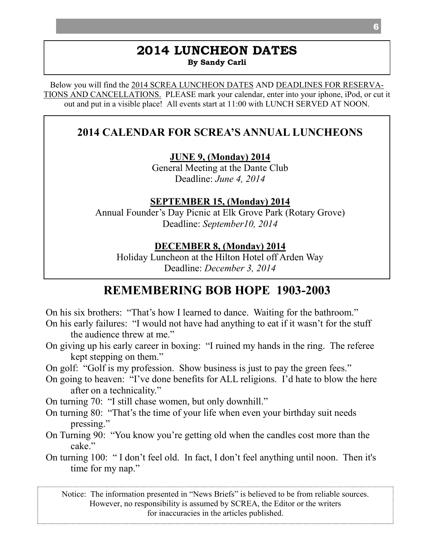#### **2014 LUNCHEON DATES By Sandy Carli**

Below you will find the 2014 SCREA LUNCHEON DATES AND DEADLINES FOR RESERVA-TIONS AND CANCELLATIONS. PLEASE mark your calendar, enter into your iphone, iPod, or cut it out and put in a visible place! All events start at 11:00 with LUNCH SERVED AT NOON.

## **2014 CALENDAR FOR SCREA'S ANNUAL LUNCHEONS**

**JUNE 9, (Monday) 2014**

General Meeting at the Dante Club Deadline: *June 4, 2014*

**SEPTEMBER 15, (Monday) 2014**

Annual Founder's Day Picnic at Elk Grove Park (Rotary Grove) Deadline: *September10, 2014*

**DECEMBER 8, (Monday) 2014**

Holiday Luncheon at the Hilton Hotel off Arden Way Deadline: *December 3, 2014* 

## **REMEMBERING BOB HOPE 1903-2003**

On his six brothers: "That's how I learned to dance. Waiting for the bathroom." On his early failures: "I would not have had anything to eat if it wasn't for the stuff the audience threw at me."

On giving up his early career in boxing: "I ruined my hands in the ring. The referee kept stepping on them."

On golf: "Golf is my profession. Show business is just to pay the green fees."

On going to heaven: "I've done benefits for ALL religions. I'd hate to blow the here after on a technicality."

On turning 70: "I still chase women, but only downhill."

- On turning 80: "That's the time of your life when even your birthday suit needs pressing."
- On Turning 90: "You know you're getting old when the candles cost more than the cake."
- On turning 100: " I don't feel old. In fact, I don't feel anything until noon. Then it's time for my nap."

Notice: The information presented in "News Briefs" is believed to be from reliable sources. However, no responsibility is assumed by SCREA, the Editor or the writers for inaccuracies in the articles published.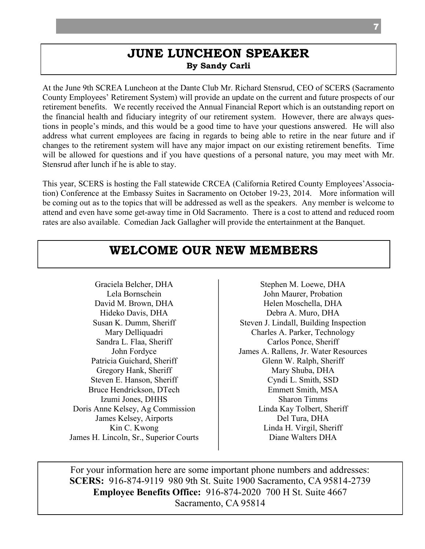## **JUNE LUNCHEON SPEAKER By Sandy Carli**

At the June 9th SCREA Luncheon at the Dante Club Mr. Richard Stensrud, CEO of SCERS (Sacramento County Employees' Retirement System) will provide an update on the current and future prospects of our retirement benefits. We recently received the Annual Financial Report which is an outstanding report on the financial health and fiduciary integrity of our retirement system. However, there are always questions in people's minds, and this would be a good time to have your questions answered. He will also address what current employees are facing in regards to being able to retire in the near future and if changes to the retirement system will have any major impact on our existing retirement benefits. Time will be allowed for questions and if you have questions of a personal nature, you may meet with Mr. Stensrud after lunch if he is able to stay.

This year, SCERS is hosting the Fall statewide CRCEA (California Retired County Employees'Association) Conference at the Embassy Suites in Sacramento on October 19-23, 2014. More information will be coming out as to the topics that will be addressed as well as the speakers. Any member is welcome to attend and even have some get-away time in Old Sacramento. There is a cost to attend and reduced room rates are also available. Comedian Jack Gallagher will provide the entertainment at the Banquet.

## **WELCOME OUR NEW MEMBERS**

Graciela Belcher, DHA Lela Bornschein David M. Brown, DHA Hideko Davis, DHA Susan K. Dumm, Sheriff Mary Delliquadri Sandra L. Flaa, Sheriff John Fordyce Patricia Guichard, Sheriff Gregory Hank, Sheriff Steven E. Hanson, Sheriff Bruce Hendrickson, DTech Izumi Jones, DHHS Doris Anne Kelsey, Ag Commission James Kelsey, Airports Kin C. Kwong James H. Lincoln, Sr., Superior Courts

Stephen M. Loewe, DHA John Maurer, Probation Helen Moschella, DHA Debra A. Muro, DHA Steven J. Lindall, Building Inspection Charles A. Parker, Technology Carlos Ponce, Sheriff James A. Rallens, Jr. Water Resources Glenn W. Ralph, Sheriff Mary Shuba, DHA Cyndi L. Smith, SSD Emmett Smith, MSA Sharon Timms Linda Kay Tolbert, Sheriff Del Tura, DHA Linda H. Virgil, Sheriff Diane Walters DHA

For your information here are some important phone numbers and addresses: **SCERS:** 916-874-9119 980 9th St. Suite 1900 Sacramento, CA 95814-2739 **Employee Benefits Office:** 916-874-2020 700 H St. Suite 4667 Sacramento, CA 95814

7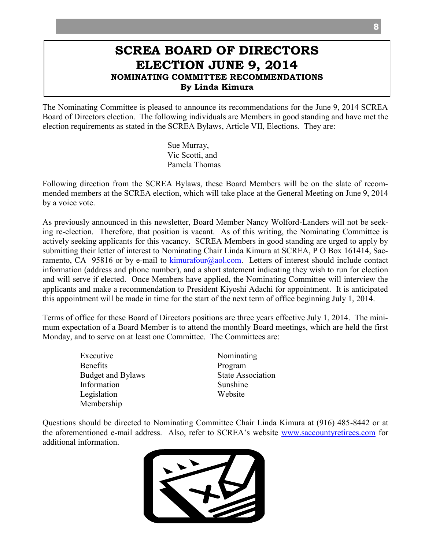## **SCREA BOARD OF DIRECTORS ELECTION JUNE 9, 2014 NOMINATING COMMITTEE RECOMMENDATIONS By Linda Kimura**

The Nominating Committee is pleased to announce its recommendations for the June 9, 2014 SCREA Board of Directors election. The following individuals are Members in good standing and have met the election requirements as stated in the SCREA Bylaws, Article VII, Elections. They are:

> Sue Murray, Vic Scotti, and Pamela Thomas

Following direction from the SCREA Bylaws, these Board Members will be on the slate of recommended members at the SCREA election, which will take place at the General Meeting on June 9, 2014 by a voice vote.

As previously announced in this newsletter, Board Member Nancy Wolford-Landers will not be seeking re-election. Therefore, that position is vacant. As of this writing, the Nominating Committee is actively seeking applicants for this vacancy. SCREA Members in good standing are urged to apply by submitting their letter of interest to Nominating Chair Linda Kimura at SCREA, P O Box 161414, Sacramento, CA 95816 or by e-mail to  $\lim_{\alpha}$  kimurafour $(\alpha)$  aol.com. Letters of interest should include contact information (address and phone number), and a short statement indicating they wish to run for election and will serve if elected. Once Members have applied, the Nominating Committee will interview the applicants and make a recommendation to President Kiyoshi Adachi for appointment. It is anticipated this appointment will be made in time for the start of the next term of office beginning July 1, 2014.

Terms of office for these Board of Directors positions are three years effective July 1, 2014. The minimum expectation of a Board Member is to attend the monthly Board meetings, which are held the first Monday, and to serve on at least one Committee. The Committees are:

> Executive Nominating Benefits Program Budget and Bylaws State Association Information Sunshine Legislation Website Membership

Questions should be directed to Nominating Committee Chair Linda Kimura at (916) 485-8442 or at the aforementioned e-mail address. Also, refer to SCREA's website [www.saccountyretirees.com](http://www.saccountyretirees.com/) for additional information.



8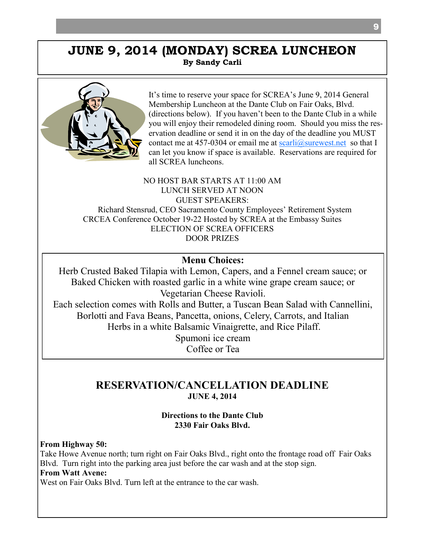### **JUNE 9, 2014 (MONDAY) SCREA LUNCHEON By Sandy Carli**



It's time to reserve your space for SCREA's June 9, 2014 General Membership Luncheon at the Dante Club on Fair Oaks, Blvd. (directions below). If you haven't been to the Dante Club in a while you will enjoy their remodeled dining room. Should you miss the reservation deadline or send it in on the day of the deadline you MUST contact me at 457-0304 or email me at  $scarli(\partial_{\text{surewest.net}})$  so that I can let you know if space is available. Reservations are required for all SCREA luncheons.

NO HOST BAR STARTS AT 11:00 AM LUNCH SERVED AT NOON GUEST SPEAKERS: Richard Stensrud, CEO Sacramento County Employees' Retirement System CRCEA Conference October 19-22 Hosted by SCREA at the Embassy Suites ELECTION OF SCREA OFFICERS DOOR PRIZES

#### **Menu Choices:**

Herb Crusted Baked Tilapia with Lemon, Capers, and a Fennel cream sauce; or Baked Chicken with roasted garlic in a white wine grape cream sauce; or Vegetarian Cheese Ravioli. Each selection comes with Rolls and Butter, a Tuscan Bean Salad with Cannellini, Borlotti and Fava Beans, Pancetta, onions, Celery, Carrots, and Italian Herbs in a white Balsamic Vinaigrette, and Rice Pilaff. Spumoni ice cream Coffee or Tea

#### **RESERVATION/CANCELLATION DEADLINE JUNE 4, 2014**

#### **Directions to the Dante Club 2330 Fair Oaks Blvd.**

**From Highway 50:**

Take Howe Avenue north; turn right on Fair Oaks Blvd., right onto the frontage road off Fair Oaks Blvd. Turn right into the parking area just before the car wash and at the stop sign.

#### **From Watt Avene:**

West on Fair Oaks Blyd. Turn left at the entrance to the car wash.